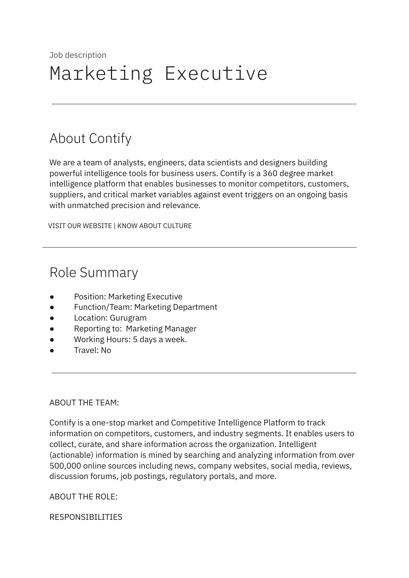# About Contify

We are a team of analysts, engineers, data scientists and designers building powerful intelligence tools for business users. Contify is a 360 degree market intelligence platform that enables businesses to monitor competitors, customers, suppliers, and critical market variables against event triggers on an ongoing basis with unmatched precision and relevance.

VISIT OUR [WEBSITE](http://contify.com/) | KNOW ABOUT [CULTURE](https://app.box.com/s/729fu9kwnix6x7g1ix0u)

# Role Summary

- Position: Marketing Executive
- Function/Team: Marketing Department
- Location: Gurugram
- Reporting to: Marketing Manager
- Working Hours: 5 days a week.
- Travel: No

#### ABOUT THE TEAM:

Contify is a one-stop market and Competitive Intelligence Platform to track information on competitors, customers, and industry segments. It enables users to collect, curate, and share information across the organization. Intelligent (actionable) information is mined by searching and analyzing information from over 500,000 online sources including news, company websites, social media, reviews, discussion forums, job postings, regulatory portals, and more.

ABOUT THE ROLE:

RESPONSIBILITIES